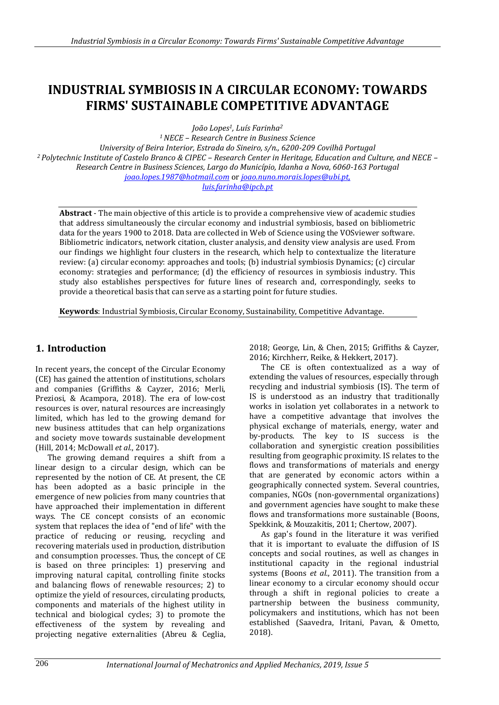# **INDUSTRIAL SYMBIOSIS IN A CIRCULAR ECONOMY: TOWARDS FIRMS' SUSTAINABLE COMPETITIVE ADVANTAGE**

*João Lopes1, Luís Farinha<sup>2</sup>*

*<sup>1</sup>NECE – Research Centre in Business Science University of Beira Interior, Estrada do Sineiro, s/n., 6200-209 Covilhã Portugal <sup>2</sup>Polytechnic Institute of Castelo Branco & CIPEC – Research Center in Heritage, Education and Culture, and NECE – Research Centre in Business Sciences, Largo do Município, Idanha a Nova, 6060-163 Portugal joao.lopes.1987@hotmail.com* or *joao.nuno.morais.lopes@ubi.pt, luis.farinha@ipcb.pt*

**Abstract** - The main objective of this article is to provide a comprehensive view of academic studies that address simultaneously the circular economy and industrial symbiosis, based on bibliometric data for the years 1900 to 2018. Data are collected in Web of Science using the VOSviewer software. Bibliometric indicators, network citation, cluster analysis, and density view analysis are used. From our findings we highlight four clusters in the research, which help to contextualize the literature review: (a) circular economy: approaches and tools; (b) industrial symbiosis Dynamics; (c) circular economy: strategies and performance; (d) the efficiency of resources in symbiosis industry. This study also establishes perspectives for future lines of research and, correspondingly, seeks to provide a theoretical basis that can serve as a starting point for future studies.

**Keywords**: Industrial Symbiosis, Circular Economy, Sustainability, Competitive Advantage.

### **1. Introduction**

In recent years, the concept of the Circular Economy (CE) has gained the attention of institutions, scholars and companies (Griffiths & Cayzer, 2016; Merli, Preziosi, & Acampora, 2018). The era of low-cost resources is over, natural resources are increasingly limited, which has led to the growing demand for new business attitudes that can help organizations and society move towards sustainable development (Hill, 2014; McDowall *et al.*, 2017).

The growing demand requires a shift from a linear design to a circular design, which can be represented by the notion of CE. At present, the CE has been adopted as a basic principle in the emergence of new policies from many countries that have approached their implementation in different ways. The CE concept consists of an economic system that replaces the idea of "end of life" with the practice of reducing or reusing, recycling and recovering materials used in production, distribution and consumption processes. Thus, the concept of CE is based on three principles: 1) preserving and improving natural capital, controlling finite stocks and balancing flows of renewable resources; 2) to optimize the yield of resources, circulating products, components and materials of the highest utility in technical and biological cycles; 3) to promote the effectiveness of the system by revealing and projecting negative externalities (Abreu & Ceglia,

2018; George, Lin, & Chen, 2015; Griffiths & Cayzer, 2016; Kirchherr, Reike, & Hekkert, 2017).

The CE is often contextualized as a way of extending the values of resources, especially through recycling and industrial symbiosis (IS). The term of IS is understood as an industry that traditionally works in isolation yet collaborates in a network to have a competitive advantage that involves the physical exchange of materials, energy, water and by-products. The key to IS success is the collaboration and synergistic creation possibilities resulting from geographic proximity. IS relates to the flows and transformations of materials and energy that are generated by economic actors within a geographically connected system. Several countries, companies, NGOs (non-governmental organizations) and government agencies have sought to make these flows and transformations more sustainable (Boons, Spekkink, & Mouzakitis, 2011; Chertow, 2007).

As gap's found in the literature it was verified that it is important to evaluate the diffusion of IS concepts and social routines, as well as changes in institutional capacity in the regional industrial systems (Boons *et al.*, 2011). The transition from a linear economy to a circular economy should occur through a shift in regional policies to create a partnership between the business community, policymakers and institutions, which has not been established (Saavedra, Iritani, Pavan, & Ometto, 2018).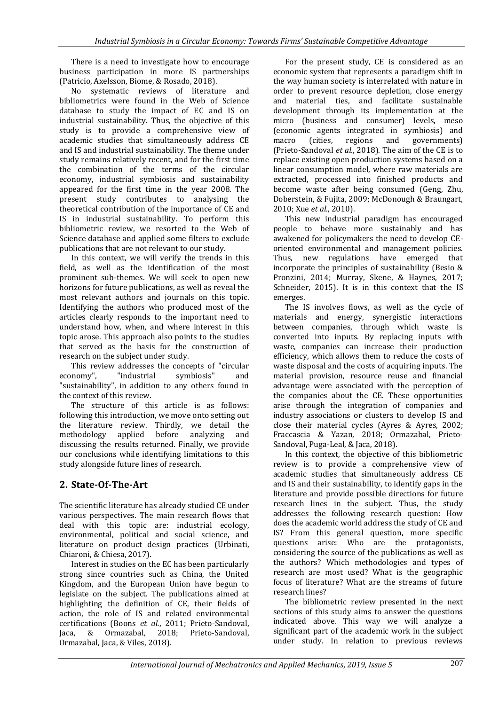There is a need to investigate how to encourage business participation in more IS partnerships (Patricio, Axelsson, Biome, & Rosado, 2018).

No systematic reviews of literature and bibliometrics were found in the Web of Science database to study the impact of EC and IS on industrial sustainability. Thus, the objective of this study is to provide a comprehensive view of academic studies that simultaneously address CE and IS and industrial sustainability. The theme under study remains relatively recent, and for the first time the combination of the terms of the circular economy, industrial symbiosis and sustainability appeared for the first time in the year 2008. The present study contributes to analysing the theoretical contribution of the importance of CE and IS in industrial sustainability. To perform this bibliometric review, we resorted to the Web of Science database and applied some filters to exclude publications that are not relevant to our study.

In this context, we will verify the trends in this field, as well as the identification of the most prominent sub-themes. We will seek to open new horizons for future publications, as well as reveal the most relevant authors and journals on this topic. Identifying the authors who produced most of the articles clearly responds to the important need to understand how, when, and where interest in this topic arose. This approach also points to the studies that served as the basis for the construction of research on the subject under study.

This review addresses the concepts of "circular economy", "industrial symbiosis" and "sustainability", in addition to any others found in the context of this review.

The structure of this article is as follows: following this introduction, we move onto setting out the literature review. Thirdly, we detail the methodology applied before analyzing and discussing the results returned. Finally, we provide our conclusions while identifying limitations to this study alongside future lines of research.

# **2. State-Of-The-Art**

The scientific literature has already studied CE under various perspectives. The main research flows that deal with this topic are: industrial ecology, environmental, political and social science, and literature on product design practices (Urbinati, Chiaroni, & Chiesa, 2017).

Interest in studies on the EC has been particularly strong since countries such as China, the United Kingdom, and the European Union have begun to legislate on the subject. The publications aimed at highlighting the definition of CE, their fields of action, the role of IS and related environmental certifications (Boons *et al.*, 2011; Prieto-Sandoval, Jaca, & Ormazabal, 2018; Prieto‐Sandoval, Ormazabal, Jaca, & Viles, 2018).

For the present study, CE is considered as an economic system that represents a paradigm shift in the way human society is interrelated with nature in order to prevent resource depletion, close energy and material ties, and facilitate sustainable development through its implementation at the micro (business and consumer) levels, meso (economic agents integrated in symbiosis) and macro (cities, regions and governments) (Prieto‐Sandoval *et al.*, 2018). The aim of the CE is to replace existing open production systems based on a linear consumption model, where raw materials are extracted, processed into finished products and become waste after being consumed (Geng, Zhu, Doberstein, & Fujita, 2009; McDonough & Braungart, 2010; Xue *et al.*, 2010).

This new industrial paradigm has encouraged people to behave more sustainably and has awakened for policymakers the need to develop CEoriented environmental and management policies. Thus, new regulations have emerged that incorporate the principles of sustainability (Besio & Pronzini, 2014; Murray, Skene, & Haynes, 2017; Schneider, 2015). It is in this context that the IS emerges.

The IS involves flows, as well as the cycle of materials and energy, synergistic interactions between companies, through which waste is converted into inputs. By replacing inputs with waste, companies can increase their production efficiency, which allows them to reduce the costs of waste disposal and the costs of acquiring inputs. The material provision, resource reuse and financial advantage were associated with the perception of the companies about the CE. These opportunities arise through the integration of companies and industry associations or clusters to develop IS and close their material cycles (Ayres & Ayres, 2002; Fraccascia & Yazan, 2018; Ormazabal, Prieto-Sandoval, Puga-Leal, & Jaca, 2018).

In this context, the objective of this bibliometric review is to provide a comprehensive view of academic studies that simultaneously address CE and IS and their sustainability, to identify gaps in the literature and provide possible directions for future research lines in the subject. Thus, the study addresses the following research question: How does the academic world address the study of CE and IS? From this general question, more specific questions arise: Who are the protagonists, considering the source of the publications as well as the authors? Which methodologies and types of research are most used? What is the geographic focus of literature? What are the streams of future research lines?

The bibliometric review presented in the next sections of this study aims to answer the questions indicated above. This way we will analyze a significant part of the academic work in the subject under study. In relation to previous reviews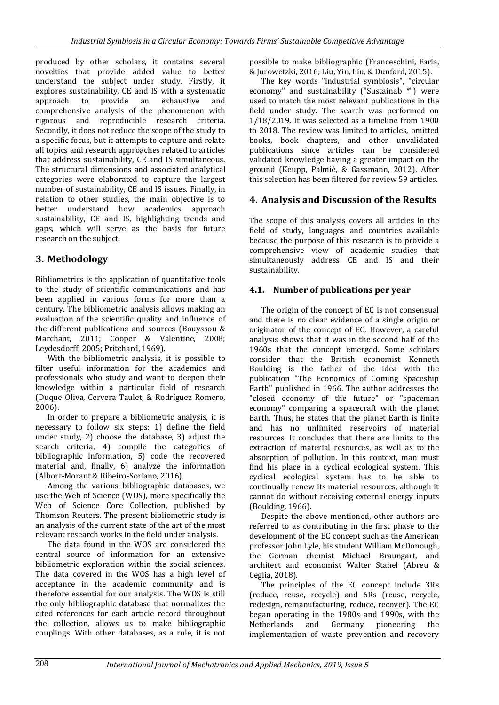produced by other scholars, it contains several novelties that provide added value to better understand the subject under study. Firstly, it explores sustainability, CE and IS with a systematic approach to provide an exhaustive and comprehensive analysis of the phenomenon with rigorous and reproducible research criteria. Secondly, it does not reduce the scope of the study to a specific focus, but it attempts to capture and relate all topics and research approaches related to articles that address sustainability, CE and IS simultaneous. The structural dimensions and associated analytical categories were elaborated to capture the largest number of sustainability, CE and IS issues. Finally, in relation to other studies, the main objective is to better understand how academics approach sustainability, CE and IS, highlighting trends and gaps, which will serve as the basis for future research on the subject.

# **3. Methodology**

Bibliometrics is the application of quantitative tools to the study of scientific communications and has been applied in various forms for more than a century. The bibliometric analysis allows making an evaluation of the scientific quality and influence of the different publications and sources (Bouyssou & Marchant, 2011; Cooper & Valentine, 2008; Leydesdorff, 2005; Pritchard, 1969).

With the bibliometric analysis, it is possible to filter useful information for the academics and professionals who study and want to deepen their knowledge within a particular field of research (Duque Oliva, Cervera Taulet, & Rodríguez Romero, 2006).

In order to prepare a bibliometric analysis, it is necessary to follow six steps: 1) define the field under study, 2) choose the database, 3) adjust the search criteria, 4) compile the categories of bibliographic information, 5) code the recovered material and, finally, 6) analyze the information (Albort-Morant & Ribeiro-Soriano, 2016).

Among the various bibliographic databases, we use the Web of Science (WOS), more specifically the Web of Science Core Collection, published by Thomson Reuters. The present bibliometric study is an analysis of the current state of the art of the most relevant research works in the field under analysis.

The data found in the WOS are considered the central source of information for an extensive bibliometric exploration within the social sciences. The data covered in the WOS has a high level of acceptance in the academic community and is therefore essential for our analysis. The WOS is still the only bibliographic database that normalizes the cited references for each article record throughout the collection, allows us to make bibliographic couplings. With other databases, as a rule, it is not possible to make bibliographic (Franceschini, Faria, & Jurowetzki, 2016; Liu, Yin, Liu, & Dunford, 2015).

The key words "industrial symbiosis", "circular economy" and sustainability ("Sustainab \*") were used to match the most relevant publications in the field under study. The search was performed on 1/18/2019. It was selected as a timeline from 1900 to 2018. The review was limited to articles, omitted books, book chapters, and other unvalidated publications since articles can be considered validated knowledge having a greater impact on the ground (Keupp, Palmié, & Gassmann, 2012). After this selection has been filtered for review 59 articles.

### **4. Analysis and Discussion of the Results**

The scope of this analysis covers all articles in the field of study, languages and countries available because the purpose of this research is to provide a comprehensive view of academic studies that simultaneously address CE and IS and their sustainability.

### **4.1. Number of publications per year**

The origin of the concept of EC is not consensual and there is no clear evidence of a single origin or originator of the concept of EC. However, a careful analysis shows that it was in the second half of the 1960s that the concept emerged. Some scholars consider that the British economist Kenneth Boulding is the father of the idea with the publication "The Economics of Coming Spaceship Earth" published in 1966. The author addresses the "closed economy of the future" or "spaceman economy" comparing a spacecraft with the planet Earth. Thus, he states that the planet Earth is finite and has no unlimited reservoirs of material resources. It concludes that there are limits to the extraction of material resources, as well as to the absorption of pollution. In this context, man must find his place in a cyclical ecological system. This cyclical ecological system has to be able to continually renew its material resources, although it cannot do without receiving external energy inputs (Boulding, 1966).

Despite the above mentioned, other authors are referred to as contributing in the first phase to the development of the EC concept such as the American professor John Lyle, his student William McDonough, the German chemist Michael Braungart, and architect and economist Walter Stahel (Abreu & Ceglia, 2018).

The principles of the EC concept include 3Rs (reduce, reuse, recycle) and 6Rs (reuse, recycle, redesign, remanufacturing, reduce, recover). The EC began operating in the 1980s and 1990s, with the Netherlands and Germany pioneering the implementation of waste prevention and recovery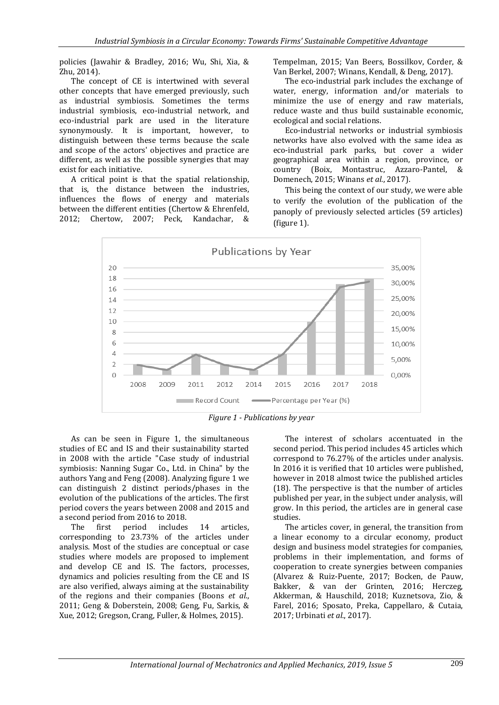policies (Jawahir & Bradley, 2016; Wu, Shi, Xia, & Zhu, 2014).

The concept of CE is intertwined with several other concepts that have emerged previously, such as industrial symbiosis. Sometimes the terms industrial symbiosis, eco-industrial network, and eco-industrial park are used in the literature synonymously. It is important, however, to distinguish between these terms because the scale and scope of the actors' objectives and practice are different, as well as the possible synergies that may exist for each initiative.

A critical point is that the spatial relationship, that is, the distance between the industries, influences the flows of energy and materials between the different entities (Chertow & Ehrenfeld, 2012; Chertow, 2007; Peck, Kandachar, &

Tempelman, 2015; Van Beers, Bossilkov, Corder, & Van Berkel, 2007; Winans, Kendall, & Deng, 2017).

The eco-industrial park includes the exchange of water, energy, information and/or materials to minimize the use of energy and raw materials, reduce waste and thus build sustainable economic, ecological and social relations.

Eco-industrial networks or industrial symbiosis networks have also evolved with the same idea as eco-industrial park parks, but cover a wider geographical area within a region, province, or country (Boix, Montastruc, Azzaro-Pantel, & Domenech, 2015; Winans *et al.*, 2017).

This being the context of our study, we were able to verify the evolution of the publication of the panoply of previously selected articles (59 articles) (figure 1).





As can be seen in Figure 1, the simultaneous studies of EC and IS and their sustainability started in 2008 with the article "Case study of industrial symbiosis: Nanning Sugar Co., Ltd. in China" by the authors Yang and Feng (2008). Analyzing figure 1 we can distinguish 2 distinct periods/phases in the evolution of the publications of the articles. The first period covers the years between 2008 and 2015 and a second period from 2016 to 2018.

The first period includes 14 articles, corresponding to 23.73% of the articles under analysis. Most of the studies are conceptual or case studies where models are proposed to implement and develop CE and IS. The factors, processes, dynamics and policies resulting from the CE and IS are also verified, always aiming at the sustainability of the regions and their companies (Boons *et al.*, 2011; Geng & Doberstein, 2008; Geng, Fu, Sarkis, & Xue, 2012; Gregson, Crang, Fuller, & Holmes, 2015).

The interest of scholars accentuated in the second period. This period includes 45 articles which correspond to 76.27% of the articles under analysis. In 2016 it is verified that 10 articles were published, however in 2018 almost twice the published articles (18). The perspective is that the number of articles published per year, in the subject under analysis, will grow. In this period, the articles are in general case studies.

The articles cover, in general, the transition from a linear economy to a circular economy, product design and business model strategies for companies, problems in their implementation, and forms of cooperation to create synergies between companies (Alvarez & Ruiz-Puente, 2017; Bocken, de Pauw, Bakker, & van der Grinten, 2016; Herczeg, Akkerman, & Hauschild, 2018; Kuznetsova, Zio, & Farel, 2016; Sposato, Preka, Cappellaro, & Cutaia, 2017; Urbinati *et al.*, 2017).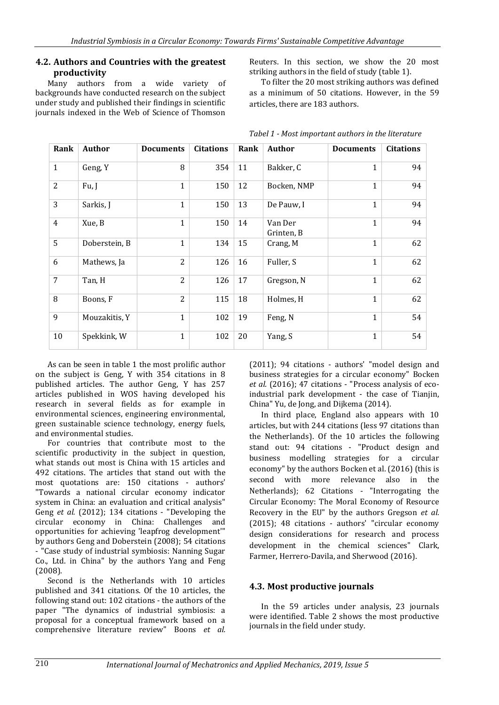#### **4.2. Authors and Countries with the greatest productivity**

Many authors from a wide variety of backgrounds have conducted research on the subject under study and published their findings in scientific journals indexed in the Web of Science of Thomson

Reuters. In this section, we show the 20 most striking authors in the field of study (table 1).

To filter the 20 most striking authors was defined as a minimum of 50 citations. However, in the 59 articles, there are 183 authors.

| Rank           | Author        | <b>Documents</b> | <b>Citations</b> | Rank | Author                | <b>Documents</b> | <b>Citations</b> |
|----------------|---------------|------------------|------------------|------|-----------------------|------------------|------------------|
| $\mathbf{1}$   | Geng, Y       | 8                | 354              | 11   | Bakker, C             | $\mathbf{1}$     | 94               |
| $\overline{2}$ | Fu, J         | $\mathbf{1}$     | 150              | 12   | Bocken, NMP           | 1                | 94               |
| 3              | Sarkis, J     | $\mathbf{1}$     | 150              | 13   | De Pauw, I            | $\mathbf{1}$     | 94               |
| 4              | Xue, B        | $\mathbf{1}$     | 150              | 14   | Van Der<br>Grinten, B | $\mathbf{1}$     | 94               |
| 5              | Doberstein, B | $\mathbf{1}$     | 134              | 15   | Crang, M              | 1                | 62               |
| 6              | Mathews, Ja   | $\overline{2}$   | 126              | 16   | Fuller, S             | $\mathbf{1}$     | 62               |
| 7              | Tan, H        | $\overline{2}$   | 126              | 17   | Gregson, N            | $\mathbf{1}$     | 62               |
| 8              | Boons, F      | $\overline{c}$   | 115              | 18   | Holmes, H             | 1                | 62               |
| 9              | Mouzakitis, Y | $\mathbf{1}$     | 102              | 19   | Feng, N               | 1                | 54               |
| 10             | Spekkink, W   | $\mathbf{1}$     | 102              | 20   | Yang, S               | $\mathbf{1}$     | 54               |

*Tabel 1 - Most important authors in the literature*

As can be seen in table 1 the most prolific author on the subject is Geng, Y with 354 citations in 8 published articles. The author Geng, Y has 257 articles published in WOS having developed his research in several fields as for example in environmental sciences, engineering environmental, green sustainable science technology, energy fuels, and environmental studies.

For countries that contribute most to the scientific productivity in the subject in question, what stands out most is China with 15 articles and 492 citations. The articles that stand out with the most quotations are: 150 citations - authors' "Towards a national circular economy indicator system in China: an evaluation and critical analysis" Geng *et al.* (2012); 134 citations - "Developing the circular economy in China: Challenges and opportunities for achieving 'leapfrog development'" by authors Geng and Doberstein (2008); 54 citations - "Case study of industrial symbiosis: Nanning Sugar Co., Ltd. in China" by the authors Yang and Feng (2008).

Second is the Netherlands with 10 articles published and 341 citations. Of the 10 articles, the following stand out: 102 citations - the authors of the paper "The dynamics of industrial symbiosis: a proposal for a conceptual framework based on a comprehensive literature review" Boons *et al.*

(2011); 94 citations - authors' "model design and business strategies for a circular economy" Bocken *et al.* (2016); 47 citations - "Process analysis of ecoindustrial park development - the case of Tianjin, China" Yu, de Jong, and Dijkema (2014).

In third place, England also appears with 10 articles, but with 244 citations (less 97 citations than the Netherlands). Of the 10 articles the following stand out: 94 citations - "Product design and business modelling strategies for a circular economy" by the authors Bocken et al. (2016) (this is second with more relevance also in the Netherlands); 62 Citations - "Interrogating the Circular Economy: The Moral Economy of Resource Recovery in the EU" by the authors Gregson *et al.* (2015); 48 citations - authors' "circular economy design considerations for research and process development in the chemical sciences" Clark, Farmer, Herrero-Davila, and Sherwood (2016).

### **4.3. Most productive journals**

In the 59 articles under analysis, 23 journals were identified. Table 2 shows the most productive journals in the field under study.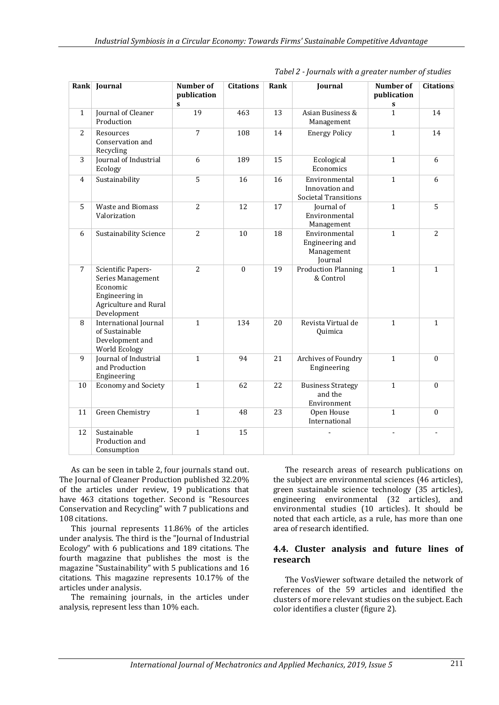|                | Rank Journal                                                                                                  | <b>Number of</b><br>publication<br>S | <b>Citations</b> | Rank | Journal                                                        | Number of<br>publication<br>S | <b>Citations</b> |
|----------------|---------------------------------------------------------------------------------------------------------------|--------------------------------------|------------------|------|----------------------------------------------------------------|-------------------------------|------------------|
| $\mathbf{1}$   | Journal of Cleaner<br>Production                                                                              | 19                                   | 463              | 13   | Asian Business &<br>Management                                 | $\mathbf{1}$                  | 14               |
| $\overline{2}$ | Resources<br>Conservation and<br>Recycling                                                                    | $\overline{7}$                       | 108              | 14   | <b>Energy Policy</b>                                           | $\mathbf{1}$                  | 14               |
| 3              | Journal of Industrial<br>Ecology                                                                              | 6                                    | 189              | 15   | Ecological<br>Economics                                        | $\mathbf{1}$                  | 6                |
| 4              | Sustainability                                                                                                | $\overline{5}$                       | 16               | 16   | Environmental<br>Innovation and<br><b>Societal Transitions</b> | $\mathbf{1}$                  | 6                |
| 5              | <b>Waste and Biomass</b><br>Valorization                                                                      | $\overline{2}$                       | 12               | 17   | Journal of<br>Environmental<br>Management                      | $\mathbf{1}$                  | $\overline{5}$   |
| 6              | Sustainability Science                                                                                        | $\overline{2}$                       | 10               | 18   | Environmental<br>Engineering and<br>Management<br>Journal      | $\mathbf{1}$                  | $\overline{2}$   |
| $\overline{7}$ | Scientific Papers-<br>Series Management<br>Economic<br>Engineering in<br>Agriculture and Rural<br>Development | $\overline{2}$                       | $\boldsymbol{0}$ | 19   | <b>Production Planning</b><br>& Control                        | $\overline{1}$                | $\overline{1}$   |
| 8              | International Journal<br>of Sustainable<br>Development and<br>World Ecology                                   | $\mathbf{1}$                         | 134              | 20   | Revista Virtual de<br>Quimica                                  | $\mathbf{1}$                  | $\mathbf{1}$     |
| 9              | Journal of Industrial<br>and Production<br>Engineering                                                        | $\mathbf{1}$                         | 94               | 21   | Archives of Foundry<br>Engineering                             | $\mathbf{1}$                  | $\boldsymbol{0}$ |
| 10             | <b>Economy and Society</b>                                                                                    | $\mathbf{1}$                         | 62               | 22   | <b>Business Strategy</b><br>and the<br>Environment             | $\mathbf{1}$                  | $\theta$         |
| 11             | <b>Green Chemistry</b>                                                                                        | $\mathbf{1}$                         | 48               | 23   | Open House<br>International                                    | $\overline{1}$                | $\theta$         |
| 12             | Sustainable<br>Production and<br>Consumption                                                                  | $\mathbf{1}$                         | 15               |      |                                                                |                               |                  |

*Tabel 2 - Journals with a greater number of studies*

As can be seen in table 2, four journals stand out. The Journal of Cleaner Production published 32.20% of the articles under review, 19 publications that have 463 citations together. Second is "Resources Conservation and Recycling" with 7 publications and 108 citations.

This journal represents 11.86% of the articles under analysis. The third is the "Journal of Industrial Ecology" with 6 publications and 189 citations. The fourth magazine that publishes the most is the magazine "Sustainability" with 5 publications and 16 citations. This magazine represents 10.17% of the articles under analysis.

The remaining journals, in the articles under analysis, represent less than 10% each.

The research areas of research publications on the subject are environmental sciences (46 articles), green sustainable science technology (35 articles), engineering environmental (32 articles), and environmental studies (10 articles). It should be noted that each article, as a rule, has more than one area of research identified.

#### **4.4. Cluster analysis and future lines of research**

The VosViewer software detailed the network of references of the 59 articles and identified the clusters of more relevant studies on the subject. Each color identifies a cluster (figure 2).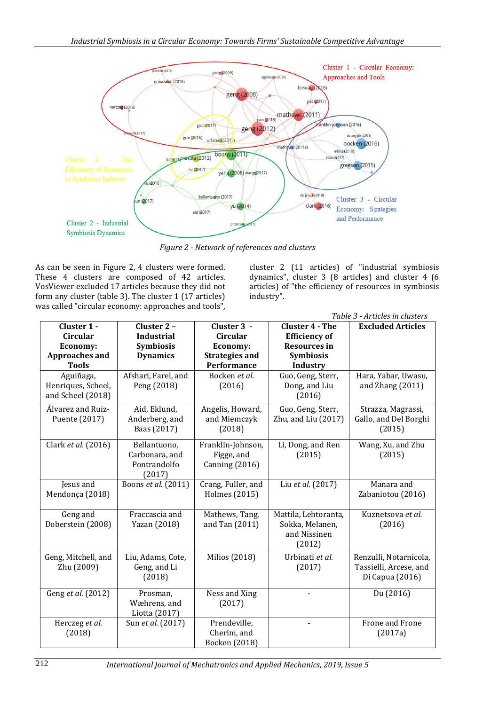

*Figure 2 - Network of references and clusters*

As can be seen in Figure 2, 4 clusters were formed. These 4 clusters are composed of 42 articles. VosViewer excluded 17 articles because they did not form any cluster (table 3). The cluster 1 (17 articles) was called "circular economy: approaches and tools",

cluster 2 (11 articles) of "industrial symbiosis dynamics", cluster 3 (8 articles) and cluster 4 (6 articles) of "the efficiency of resources in symbiosis industry".

| Table 3 - Articles in clusters |                     |                              |                        |                          |  |  |  |
|--------------------------------|---------------------|------------------------------|------------------------|--------------------------|--|--|--|
| Cluster 1 -                    | Cluster 2 -         | Cluster 3 -                  | <b>Cluster 4 - The</b> | <b>Excluded Articles</b> |  |  |  |
| Circular                       | <b>Industrial</b>   | Circular                     | <b>Efficiency of</b>   |                          |  |  |  |
| Economy:                       | Symbiosis           | Economy:                     | <b>Resources in</b>    |                          |  |  |  |
| <b>Approaches and</b>          | <b>Dynamics</b>     | <b>Strategies and</b>        | <b>Symbiosis</b>       |                          |  |  |  |
| <b>Tools</b>                   |                     | Performance                  | <b>Industry</b>        |                          |  |  |  |
| Aguiñaga,                      | Afshari, Farel, and | Bocken et al.                | Guo, Geng, Sterr,      | Hara, Yabar, Uwasu,      |  |  |  |
| Henriques, Scheel,             | Peng (2018)         | (2016)                       | Dong, and Liu          | and Zhang $(2011)$       |  |  |  |
| and Scheel (2018)              |                     |                              | (2016)                 |                          |  |  |  |
| Álvarez and Ruiz-              | Aid, Eklund,        | Angelis, Howard,             | Guo, Geng, Sterr,      | Strazza, Magrassi,       |  |  |  |
| Puente (2017)                  | Anderberg, and      | and Miemczyk                 | Zhu, and Liu (2017)    | Gallo, and Del Borghi    |  |  |  |
|                                | Baas (2017)         | (2018)                       |                        | (2015)                   |  |  |  |
| Clark et al. (2016)            | Bellantuono,        | Franklin-Johnson,            | Li, Dong, and Ren      | Wang, Xu, and Zhu        |  |  |  |
|                                | Carbonara, and      | Figge, and                   | (2015)                 | (2015)                   |  |  |  |
|                                | Pontrandolfo        | <b>Canning (2016)</b>        |                        |                          |  |  |  |
|                                | (2017)              |                              |                        |                          |  |  |  |
| Jesus and                      | Boons et al. (2011) | Crang, Fuller, and           | Liu et al. (2017)      | Manara and               |  |  |  |
| Mendonça (2018)                |                     | Holmes (2015)                |                        | Zabaniotou (2016)        |  |  |  |
|                                |                     |                              |                        |                          |  |  |  |
| Geng and                       | Fraccascia and      | Mathews, Tang,               | Mattila, Lehtoranta,   | Kuznetsova et al.        |  |  |  |
| Doberstein (2008)              | Yazan (2018)        | and Tan (2011)               | Sokka, Melanen,        | (2016)                   |  |  |  |
|                                |                     |                              | and Nissinen           |                          |  |  |  |
|                                |                     |                              | (2012)                 |                          |  |  |  |
| Geng, Mitchell, and            | Liu, Adams, Cote,   | Milios (2018)                | Urbinati et al.        | Renzulli, Notarnicola,   |  |  |  |
| Zhu (2009)                     | Geng, and Li        |                              | (2017)                 | Tassielli, Arcese, and   |  |  |  |
|                                | (2018)              |                              |                        | Di Capua (2016)          |  |  |  |
|                                |                     |                              |                        |                          |  |  |  |
| Geng et al. (2012)             | Prosman,            | Ness and Xing                | ÷.                     | Du (2016)                |  |  |  |
|                                | Wæhrens, and        | (2017)                       |                        |                          |  |  |  |
|                                | Liotta (2017)       |                              |                        |                          |  |  |  |
| Herczeg et al.                 | Sun et al. (2017)   | Prendeville,                 |                        | Frone and Frone          |  |  |  |
| (2018)                         |                     | Cherim, and<br>Bocken (2018) |                        | (2017a)                  |  |  |  |

212 *International Journal of Mechatronics and Applied Mechanics, 2019, Issue 5*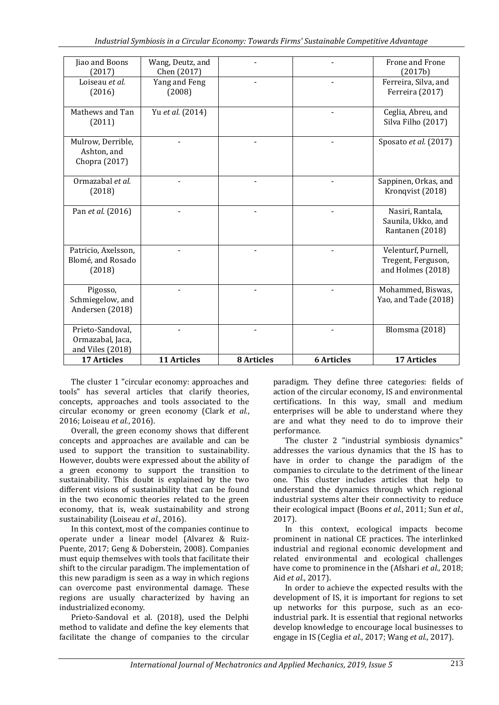| and Viles (2018)<br><b>17 Articles</b>                  | 11 Articles                     | <b>8</b> Articles | <b>6 Articles</b> | <b>17 Articles</b>                                             |
|---------------------------------------------------------|---------------------------------|-------------------|-------------------|----------------------------------------------------------------|
| Ormazabal, Jaca,                                        |                                 |                   |                   |                                                                |
| Schmiegelow, and<br>Andersen (2018)<br>Prieto-Sandoval, |                                 |                   |                   | Yao, and Tade (2018)<br>Blomsma (2018)                         |
| Pigosso,                                                |                                 |                   |                   | Mohammed, Biswas,                                              |
| Patricio, Axelsson,<br>Blomé, and Rosado<br>(2018)      |                                 |                   |                   | Velenturf, Purnell,<br>Tregent, Ferguson,<br>and Holmes (2018) |
| Pan et al. (2016)                                       |                                 |                   |                   | Nasiri, Rantala,<br>Saunila, Ukko, and<br>Rantanen (2018)      |
| Ormazabal et al.<br>(2018)                              |                                 |                   |                   | Sappinen, Orkas, and<br>Kronqvist (2018)                       |
| Mulrow, Derrible,<br>Ashton, and<br>Chopra (2017)       |                                 |                   |                   | Sposato et al. (2017)                                          |
| Mathews and Tan<br>(2011)                               | Yu et al. (2014)                |                   |                   | Ceglia, Abreu, and<br>Silva Filho (2017)                       |
| Loiseau et al.<br>(2016)                                | Yang and Feng<br>(2008)         |                   |                   | Ferreira, Silva, and<br>Ferreira (2017)                        |
| Jiao and Boons<br>(2017)                                | Wang, Deutz, and<br>Chen (2017) |                   |                   | Frone and Frone<br>(2017b)                                     |

The cluster 1 "circular economy: approaches and tools" has several articles that clarify theories, concepts, approaches and tools associated to the circular economy or green economy (Clark *et al.*, 2016; Loiseau *et al.*, 2016).

Overall, the green economy shows that different concepts and approaches are available and can be used to support the transition to sustainability. However, doubts were expressed about the ability of a green economy to support the transition to sustainability. This doubt is explained by the two different visions of sustainability that can be found in the two economic theories related to the green economy, that is, weak sustainability and strong sustainability (Loiseau *et al.*, 2016).

In this context, most of the companies continue to operate under a linear model (Alvarez & Ruiz-Puente, 2017; Geng & Doberstein, 2008). Companies must equip themselves with tools that facilitate their shift to the circular paradigm. The implementation of this new paradigm is seen as a way in which regions can overcome past environmental damage. These regions are usually characterized by having an industrialized economy.

Prieto-Sandoval et al. (2018), used the Delphi method to validate and define the key elements that facilitate the change of companies to the circular

paradigm. They define three categories: fields of action of the circular economy, IS and environmental certifications. In this way, small and medium enterprises will be able to understand where they are and what they need to do to improve their performance.

The cluster 2 "industrial symbiosis dynamics" addresses the various dynamics that the IS has to have in order to change the paradigm of the companies to circulate to the detriment of the linear one. This cluster includes articles that help to understand the dynamics through which regional industrial systems alter their connectivity to reduce their ecological impact (Boons *et al.*, 2011; Sun *et al.*, 2017).

In this context, ecological impacts become prominent in national CE practices. The interlinked industrial and regional economic development and related environmental and ecological challenges have come to prominence in the (Afshari *et al.*, 2018; Aid *et al.*, 2017).

In order to achieve the expected results with the development of IS, it is important for regions to set up networks for this purpose, such as an ecoindustrial park. It is essential that regional networks develop knowledge to encourage local businesses to engage in IS (Ceglia *et al.*, 2017; Wang *et al.*, 2017).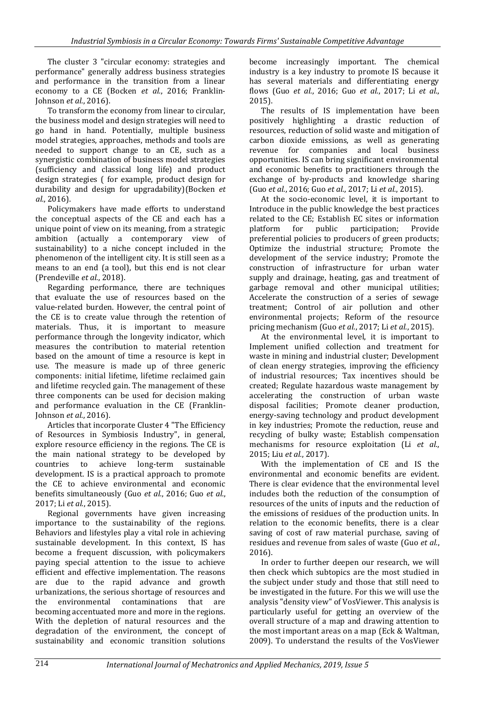The cluster 3 "circular economy: strategies and performance" generally address business strategies and performance in the transition from a linear economy to a CE (Bocken *et al.*, 2016; Franklin-Johnson *et al.*, 2016).

To transform the economy from linear to circular, the business model and design strategies will need to go hand in hand. Potentially, multiple business model strategies, approaches, methods and tools are needed to support change to an CE, such as a synergistic combination of business model strategies (sufficiency and classical long life) and product design strategies ( for example, product design for durability and design for upgradability)(Bocken *et al.*, 2016).

Policymakers have made efforts to understand the conceptual aspects of the CE and each has a unique point of view on its meaning, from a strategic ambition (actually a contemporary view of sustainability) to a niche concept included in the phenomenon of the intelligent city. It is still seen as a means to an end (a tool), but this end is not clear (Prendeville *et al.*, 2018).

Regarding performance, there are techniques that evaluate the use of resources based on the value-related burden. However, the central point of the CE is to create value through the retention of materials. Thus, it is important to measure performance through the longevity indicator, which measures the contribution to material retention based on the amount of time a resource is kept in use. The measure is made up of three generic components: initial lifetime, lifetime reclaimed gain and lifetime recycled gain. The management of these three components can be used for decision making and performance evaluation in the CE (Franklin-Johnson *et al.*, 2016).

Articles that incorporate Cluster 4 "The Efficiency of Resources in Symbiosis Industry", in general, explore resource efficiency in the regions. The CE is the main national strategy to be developed by countries to achieve long-term sustainable development. IS is a practical approach to promote the CE to achieve environmental and economic benefits simultaneously (Guo *et al.*, 2016; Guo *et al.*, 2017; Li *et al.*, 2015).

Regional governments have given increasing importance to the sustainability of the regions. Behaviors and lifestyles play a vital role in achieving sustainable development. In this context, IS has become a frequent discussion, with policymakers paying special attention to the issue to achieve efficient and effective implementation. The reasons are due to the rapid advance and growth urbanizations, the serious shortage of resources and the environmental contaminations that are becoming accentuated more and more in the regions. With the depletion of natural resources and the degradation of the environment, the concept of sustainability and economic transition solutions

become increasingly important. The chemical industry is a key industry to promote IS because it has several materials and differentiating energy flows (Guo *et al.*, 2016; Guo *et al.*, 2017; Li *et al.*, 2015).

The results of IS implementation have been positively highlighting a drastic reduction of resources, reduction of solid waste and mitigation of carbon dioxide emissions, as well as generating revenue for companies and local business opportunities. IS can bring significant environmental and economic benefits to practitioners through the exchange of by-products and knowledge sharing (Guo *et al.*, 2016; Guo *et al.*, 2017; Li *et al.*, 2015).

At the socio-economic level, it is important to Introduce in the public knowledge the best practices related to the CE; Establish EC sites or information<br>platform for public participation: Provide platform for public participation; Provide preferential policies to producers of green products; Optimize the industrial structure; Promote the development of the service industry; Promote the construction of infrastructure for urban water supply and drainage, heating, gas and treatment of garbage removal and other municipal utilities; Accelerate the construction of a series of sewage treatment; Control of air pollution and other environmental projects; Reform of the resource pricing mechanism (Guo *et al.*, 2017; Li *et al.*, 2015).

At the environmental level, it is important to Implement unified collection and treatment for waste in mining and industrial cluster; Development of clean energy strategies, improving the efficiency of industrial resources; Tax incentives should be created; Regulate hazardous waste management by accelerating the construction of urban waste disposal facilities; Promote cleaner production, energy-saving technology and product development in key industries; Promote the reduction, reuse and recycling of bulky waste; Establish compensation mechanisms for resource exploitation (Li *et al.*, 2015; Liu *et al.*, 2017).

With the implementation of CE and IS the environmental and economic benefits are evident. There is clear evidence that the environmental level includes both the reduction of the consumption of resources of the units of inputs and the reduction of the emissions of residues of the production units. In relation to the economic benefits, there is a clear saving of cost of raw material purchase, saving of residues and revenue from sales of waste (Guo *et al.*, 2016).

In order to further deepen our research, we will then check which subtopics are the most studied in the subject under study and those that still need to be investigated in the future. For this we will use the analysis "density view" of VosViewer. This analysis is particularly useful for getting an overview of the overall structure of a map and drawing attention to the most important areas on a map (Eck & Waltman, 2009). To understand the results of the VosViewer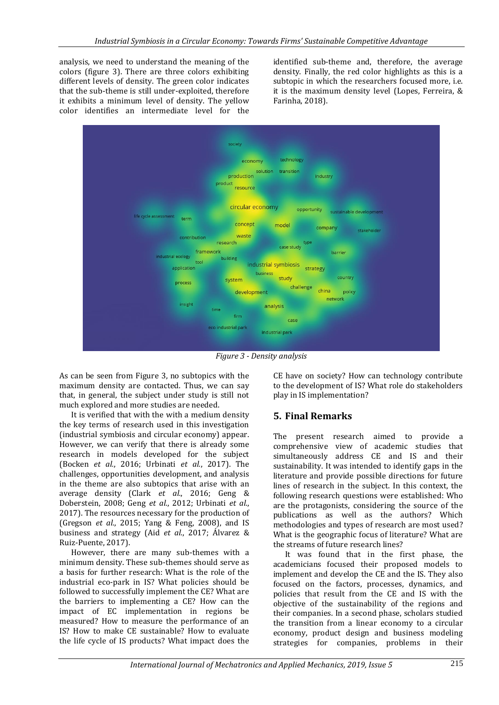analysis, we need to understand the meaning of the colors (figure 3). There are three colors exhibiting different levels of density. The green color indicates that the sub-theme is still under-exploited, therefore it exhibits a minimum level of density. The yellow color identifies an intermediate level for the

identified sub-theme and, therefore, the average density. Finally, the red color highlights as this is a subtopic in which the researchers focused more, i.e. it is the maximum density level (Lopes, Ferreira, & Farinha, 2018).



*Figure 3 - Density analysis*

As can be seen from Figure 3, no subtopics with the maximum density are contacted. Thus, we can say that, in general, the subject under study is still not much explored and more studies are needed.

It is verified that with the with a medium density the key terms of research used in this investigation (industrial symbiosis and circular economy) appear. However, we can verify that there is already some research in models developed for the subject (Bocken *et al.*, 2016; Urbinati *et al.*, 2017). The challenges, opportunities development, and analysis in the theme are also subtopics that arise with an average density (Clark *et al.*, 2016; Geng & Doberstein, 2008; Geng *et al.*, 2012; Urbinati *et al.*, 2017). The resources necessary for the production of (Gregson *et al.*, 2015; Yang & Feng, 2008), and IS business and strategy (Aid *et al.*, 2017; Álvarez & Ruiz-Puente, 2017).

However, there are many sub-themes with a minimum density. These sub-themes should serve as a basis for further research: What is the role of the industrial eco-park in IS? What policies should be followed to successfully implement the CE? What are the barriers to implementing a CE? How can the impact of EC implementation in regions be measured? How to measure the performance of an IS? How to make CE sustainable? How to evaluate the life cycle of IS products? What impact does the CE have on society? How can technology contribute to the development of IS? What role do stakeholders play in IS implementation?

# **5. Final Remarks**

The present research aimed to provide a comprehensive view of academic studies that simultaneously address CE and IS and their sustainability. It was intended to identify gaps in the literature and provide possible directions for future lines of research in the subject. In this context, the following research questions were established: Who are the protagonists, considering the source of the publications as well as the authors? Which methodologies and types of research are most used? What is the geographic focus of literature? What are the streams of future research lines?

It was found that in the first phase, the academicians focused their proposed models to implement and develop the CE and the IS. They also focused on the factors, processes, dynamics, and policies that result from the CE and IS with the objective of the sustainability of the regions and their companies. In a second phase, scholars studied the transition from a linear economy to a circular economy, product design and business modeling strategies for companies, problems in their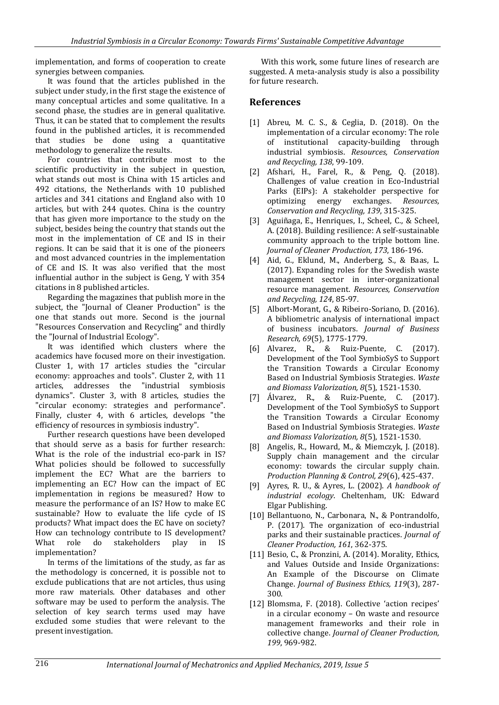implementation, and forms of cooperation to create synergies between companies.

It was found that the articles published in the subject under study, in the first stage the existence of many conceptual articles and some qualitative. In a second phase, the studies are in general qualitative. Thus, it can be stated that to complement the results found in the published articles, it is recommended that studies be done using a quantitative methodology to generalize the results.

For countries that contribute most to the scientific productivity in the subject in question, what stands out most is China with 15 articles and 492 citations, the Netherlands with 10 published articles and 341 citations and England also with 10 articles, but with 244 quotes. China is the country that has given more importance to the study on the subject, besides being the country that stands out the most in the implementation of CE and IS in their regions. It can be said that it is one of the pioneers and most advanced countries in the implementation of CE and IS. It was also verified that the most influential author in the subject is Geng, Y with 354 citations in 8 published articles.

Regarding the magazines that publish more in the subject, the "Journal of Cleaner Production" is the one that stands out more. Second is the journal "Resources Conservation and Recycling" and thirdly the "Journal of Industrial Ecology".

It was identified which clusters where the academics have focused more on their investigation. Cluster 1, with 17 articles studies the "circular economy: approaches and tools". Cluster 2, with 11 articles, addresses the "industrial symbiosis dynamics". Cluster 3, with 8 articles, studies the "circular economy: strategies and performance". Finally, cluster 4, with 6 articles, develops "the efficiency of resources in symbiosis industry".

Further research questions have been developed that should serve as a basis for further research: What is the role of the industrial eco-park in IS? What policies should be followed to successfully implement the EC? What are the barriers to implementing an EC? How can the impact of EC implementation in regions be measured? How to measure the performance of an IS? How to make EC sustainable? How to evaluate the life cycle of IS products? What impact does the EC have on society? How can technology contribute to IS development? What role do stakeholders play in IS implementation?

In terms of the limitations of the study, as far as the methodology is concerned, it is possible not to exclude publications that are not articles, thus using more raw materials. Other databases and other software may be used to perform the analysis. The selection of key search terms used may have excluded some studies that were relevant to the present investigation.

With this work, some future lines of research are suggested. A meta-analysis study is also a possibility for future research.

### **References**

- [1] Abreu, M. C. S., & Ceglia, D. (2018). On the implementation of a circular economy: The role of institutional capacity-building through industrial symbiosis. *Resources, Conservation and Recycling, 138*, 99-109.
- [2] Afshari, H., Farel, R., & Peng, Q. (2018). Challenges of value creation in Eco-Industrial Parks (EIPs): A stakeholder perspective for optimizing energy exchanges. *Resources, Conservation and Recycling, 139*, 315-325.
- [3] Aguiñaga, E., Henriques, I., Scheel, C., & Scheel, A. (2018). Building resilience: A self-sustainable community approach to the triple bottom line. *Journal of Cleaner Production, 173*, 186-196.
- [4] Aid, G., Eklund, M., Anderberg, S., & Baas, L. (2017). Expanding roles for the Swedish waste management sector in inter-organizational resource management. *Resources, Conservation and Recycling, 124*, 85-97.
- [5] Albort-Morant, G., & Ribeiro-Soriano, D. (2016). A bibliometric analysis of international impact of business incubators. *Journal of Business Research, 69*(5), 1775-1779.
- [6] Alvarez, R., & Ruiz-Puente, C. (2017). Development of the Tool SymbioSyS to Support the Transition Towards a Circular Economy Based on Industrial Symbiosis Strategies. *Waste and Biomass Valorization, 8*(5), 1521-1530.
- [7] Álvarez, R., & Ruiz-Puente, C. (2017). Development of the Tool SymbioSyS to Support the Transition Towards a Circular Economy Based on Industrial Symbiosis Strategies. *Waste and Biomass Valorization, 8*(5), 1521-1530.
- [8] Angelis, R., Howard, M., & Miemczyk, J. (2018). Supply chain management and the circular economy: towards the circular supply chain. *Production Planning & Control, 29*(6), 425-437.
- [9] Ayres, R. U., & Ayres, L. (2002). *A handbook of industrial ecology*. Cheltenham, UK: Edward Elgar Publishing.
- [10] Bellantuono, N., Carbonara, N., & Pontrandolfo, P. (2017). The organization of eco-industrial parks and their sustainable practices. *Journal of Cleaner Production, 161*, 362-375.
- [11] Besio, C., & Pronzini, A. (2014). Morality, Ethics, and Values Outside and Inside Organizations: An Example of the Discourse on Climate Change. *Journal of Business Ethics, 119*(3), 287- 300.
- [12] Blomsma, F. (2018). Collective 'action recipes' in a circular economy – On waste and resource management frameworks and their role in collective change. *Journal of Cleaner Production, 199*, 969-982.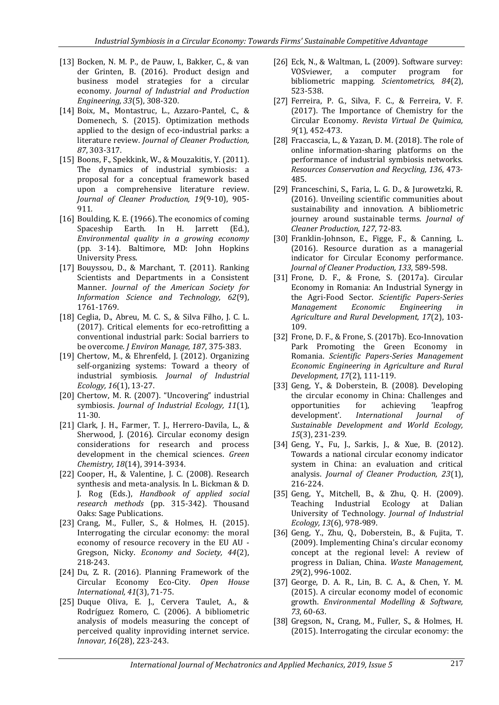- [13] Bocken, N. M. P., de Pauw, I., Bakker, C., & van der Grinten, B. (2016). Product design and business model strategies for a circular economy. *Journal of Industrial and Production Engineering, 33*(5), 308-320.
- [14] Boix, M., Montastruc, L., Azzaro-Pantel, C., & Domenech, S. (2015). Optimization methods applied to the design of eco-industrial parks: a literature review. *Journal of Cleaner Production, 87*, 303-317.
- [15] Boons, F., Spekkink, W., & Mouzakitis, Y. (2011). The dynamics of industrial symbiosis: a proposal for a conceptual framework based upon a comprehensive literature review. *Journal of Cleaner Production, 19*(9-10), 905- 911.
- [16] Boulding, K. E. (1966). The economics of coming Spaceship Earth. In H. Jarrett (Ed.), *Environmental quality in a growing economy* (pp. 3-14). Baltimore, MD: John Hopkins University Press.
- [17] Bouyssou, D., & Marchant, T. (2011). Ranking Scientists and Departments in a Consistent Manner. *Journal of the American Society for Information Science and Technology, 62*(9), 1761-1769.
- [18] Ceglia, D., Abreu, M. C. S., & Silva Filho, J. C. L. (2017). Critical elements for eco-retrofitting a conventional industrial park: Social barriers to be overcome. *J Environ Manage, 187*, 375-383.
- [19] Chertow, M., & Ehrenfeld, J. (2012). Organizing self-organizing systems: Toward a theory of industrial symbiosis. *Journal of Industrial Ecology, 16*(1), 13-27.
- [20] Chertow, M. R. (2007). "Uncovering" industrial symbiosis. *Journal of Industrial Ecology, 11*(1), 11-30.
- [21] Clark, J. H., Farmer, T. J., Herrero-Davila, L., & Sherwood, J. (2016). Circular economy design considerations for research and process development in the chemical sciences. *Green Chemistry, 18*(14), 3914-3934.
- [22] Cooper, H., & Valentine, J. C. (2008). Research synthesis and meta-analysis. In L. Bickman & D. J. Rog (Eds.), *Handbook of applied social research methods* (pp. 315-342). Thousand Oaks: Sage Publications.
- [23] Crang, M., Fuller, S., & Holmes, H. (2015). Interrogating the circular economy: the moral economy of resource recovery in the EU AU - Gregson, Nicky. *Economy and Society, 44*(2), 218-243.
- [24] Du, Z. R. (2016). Planning Framework of the Circular Economy Eco-City. *Open House International, 41*(3), 71-75.
- [25] Duque Oliva, E. J., Cervera Taulet, A., & Rodríguez Romero, C. (2006). A bibliometric analysis of models measuring the concept of perceived quality inproviding internet service. *Innovar, 16*(28), 223-243.
- [26] Eck, N., & Waltman, L. (2009). Software survey: VOSviewer, a computer program for bibliometric mapping. *Scientometrics, 84*(2), 523-538.
- [27] Ferreira, P. G., Silva, F. C., & Ferreira, V. F. (2017). The Importance of Chemistry for the Circular Economy. *Revista Virtual De Quimica, 9*(1), 452-473.
- [28] Fraccascia, L., & Yazan, D. M. (2018). The role of online information-sharing platforms on the performance of industrial symbiosis networks. *Resources Conservation and Recycling, 136*, 473- 485.
- [29] Franceschini, S., Faria, L. G. D., & Jurowetzki, R. (2016). Unveiling scientific communities about sustainability and innovation. A bibliometric journey around sustainable terms. *Journal of Cleaner Production, 127*, 72-83.
- [30] Franklin-Johnson, E., Figge, F., & Canning, L. (2016). Resource duration as a managerial indicator for Circular Economy performance. *Journal of Cleaner Production, 133*, 589-598.
- [31] Frone, D. F., & Frone, S. (2017a). Circular Economy in Romania: An Industrial Synergy in the Agri-Food Sector. *Scientific Papers-Series Management Economic Engineering in Agriculture and Rural Development, 17*(2), 103- 109.
- [32] Frone, D. F., & Frone, S. (2017b). Eco-Innovation Park Promoting the Green Economy in Romania. *Scientific Papers-Series Management Economic Engineering in Agriculture and Rural Development, 17*(2), 111-119.
- [33] Geng, Y., & Doberstein, B. (2008). Developing the circular economy in China: Challenges and opportunities for achieving 'leapfrog development'. *International Journal of Sustainable Development and World Ecology, 15*(3), 231-239.
- [34] Geng, Y., Fu, J., Sarkis, J., & Xue, B. (2012). Towards a national circular economy indicator system in China: an evaluation and critical analysis. *Journal of Cleaner Production, 23*(1), 216-224.
- [35] Geng, Y., Mitchell, B., & Zhu, Q. H. (2009). Teaching Industrial Ecology at Dalian University of Technology. *Journal of Industrial Ecology, 13*(6), 978-989.
- [36] Geng, Y., Zhu, Q., Doberstein, B., & Fujita, T. (2009). Implementing China's circular economy concept at the regional level: A review of progress in Dalian, China. *Waste Management, 29*(2), 996-1002.
- [37] George, D. A. R., Lin, B. C. A., & Chen, Y. M. (2015). A circular economy model of economic growth. *Environmental Modelling & Software, 73*, 60-63.
- [38] Gregson, N., Crang, M., Fuller, S., & Holmes, H. (2015). Interrogating the circular economy: the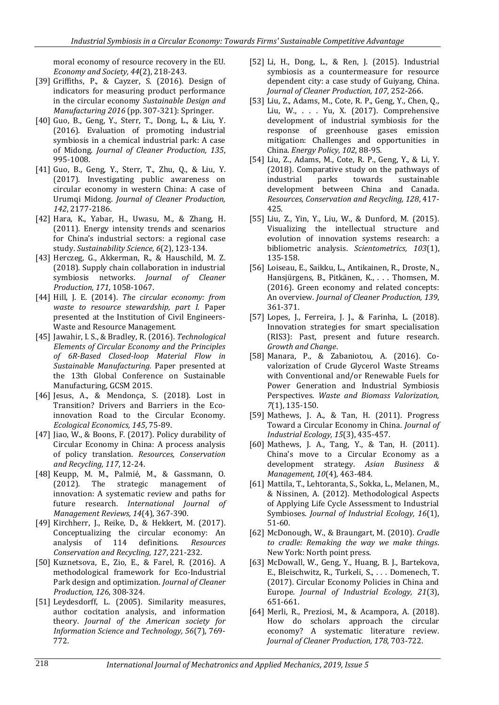moral economy of resource recovery in the EU. *Economy and Society, 44*(2), 218-243.

- [39] Griffiths, P., & Cayzer, S. (2016). Design of indicators for measuring product performance in the circular economy *Sustainable Design and Manufacturing 2016* (pp. 307-321): Springer.
- [40] Guo, B., Geng, Y., Sterr, T., Dong, L., & Liu, Y. (2016). Evaluation of promoting industrial symbiosis in a chemical industrial park: A case of Midong. *Journal of Cleaner Production, 135*, 995-1008.
- [41] Guo, B., Geng, Y., Sterr, T., Zhu, Q., & Liu, Y. (2017). Investigating public awareness on circular economy in western China: A case of Urumqi Midong. *Journal of Cleaner Production, 142*, 2177-2186.
- [42] Hara, K., Yabar, H., Uwasu, M., & Zhang, H. (2011). Energy intensity trends and scenarios for China's industrial sectors: a regional case study. *Sustainability Science, 6*(2), 123-134.
- [43] Herczeg, G., Akkerman, R., & Hauschild, M. Z. (2018). Supply chain collaboration in industrial symbiosis networks. *Journal of Cleaner Production, 171*, 1058-1067.
- [44] Hill, J. E. (2014). *The circular economy: from waste to resource stewardship, part I.* Paper presented at the Institution of Civil Engineers-Waste and Resource Management.
- [45] Jawahir, I. S., & Bradley, R. (2016). *Technological Elements of Circular Economy and the Principles of 6R-Based Closed-loop Material Flow in Sustainable Manufacturing.* Paper presented at the 13th Global Conference on Sustainable Manufacturing, GCSM 2015.
- [46] Jesus, A., & Mendonça, S. (2018). Lost in Transition? Drivers and Barriers in the Ecoinnovation Road to the Circular Economy. *Ecological Economics, 145*, 75-89.
- [47] Jiao, W., & Boons, F. (2017). Policy durability of Circular Economy in China: A process analysis of policy translation. *Resources, Conservation and Recycling, 117*, 12-24.
- [48] Keupp, M. M., Palmié, M., & Gassmann, O. (2012). The strategic management of innovation: A systematic review and paths for future research. *International Journal of Management Reviews, 14*(4), 367-390.
- [49] Kirchherr, J., Reike, D., & Hekkert, M. (2017). Conceptualizing the circular economy: An analysis of 114 definitions. *Resources Conservation and Recycling, 127*, 221-232.
- [50] Kuznetsova, E., Zio, E., & Farel, R. (2016). A methodological framework for Eco-Industrial Park design and optimization. *Journal of Cleaner Production, 126*, 308-324.
- [51] Leydesdorff, L. (2005). Similarity measures, author cocitation analysis, and information theory. *Journal of the American society for Information Science and Technology, 56*(7), 769- 772.
- [52] Li, H., Dong, L., & Ren, J. (2015). Industrial symbiosis as a countermeasure for resource dependent city: a case study of Guiyang, China. *Journal of Cleaner Production, 107*, 252-266.
- [53] Liu, Z., Adams, M., Cote, R. P., Geng, Y., Chen, Q., Liu, W., . . . Yu, X. (2017). Comprehensive development of industrial symbiosis for the response of greenhouse gases emission mitigation: Challenges and opportunities in China. *Energy Policy, 102*, 88-95.
- [54] Liu, Z., Adams, M., Cote, R. P., Geng, Y., & Li, Y. (2018). Comparative study on the pathways of industrial parks towards sustainable development between China and Canada. *Resources, Conservation and Recycling, 128*, 417- 425.
- [55] Liu, Z., Yin, Y., Liu, W., & Dunford, M. (2015). Visualizing the intellectual structure and evolution of innovation systems research: a bibliometric analysis. *Scientometrics, 103*(1), 135-158.
- [56] Loiseau, E., Saikku, L., Antikainen, R., Droste, N., Hansjürgens, B., Pitkänen, K., . . . Thomsen, M. (2016). Green economy and related concepts: An overview. *Journal of Cleaner Production, 139*, 361-371.
- [57] Lopes, J., Ferreira, J. J., & Farinha, L. (2018). Innovation strategies for smart specialisation (RIS3): Past, present and future research. *Growth and Change*.
- [58] Manara, P., & Zabaniotou, A. (2016). Covalorization of Crude Glycerol Waste Streams with Conventional and/or Renewable Fuels for Power Generation and Industrial Symbiosis Perspectives. *Waste and Biomass Valorization, 7*(1), 135-150.
- [59] Mathews, J. A., & Tan, H. (2011). Progress Toward a Circular Economy in China. *Journal of Industrial Ecology, 15*(3), 435-457.
- [60] Mathews, J. A., Tang, Y., & Tan, H. (2011). China's move to a Circular Economy as a development strategy. *Asian Business & Management, 10*(4), 463-484.
- [61] Mattila, T., Lehtoranta, S., Sokka, L., Melanen, M., & Nissinen, A. (2012). Methodological Aspects of Applying Life Cycle Assessment to Industrial Symbioses. *Journal of Industrial Ecology, 16*(1), 51-60.
- [62] McDonough, W., & Braungart, M. (2010). *Cradle to cradle: Remaking the way we make things*. New York: North point press.
- [63] McDowall, W., Geng, Y., Huang, B. J., Bartekova, E., Bleischwitz, R., Turkeli, S., . . . Domenech, T. (2017). Circular Economy Policies in China and Europe. *Journal of Industrial Ecology, 21*(3), 651-661.
- [64] Merli, R., Preziosi, M., & Acampora, A. (2018). How do scholars approach the circular economy? A systematic literature review. *Journal of Cleaner Production, 178*, 703-722.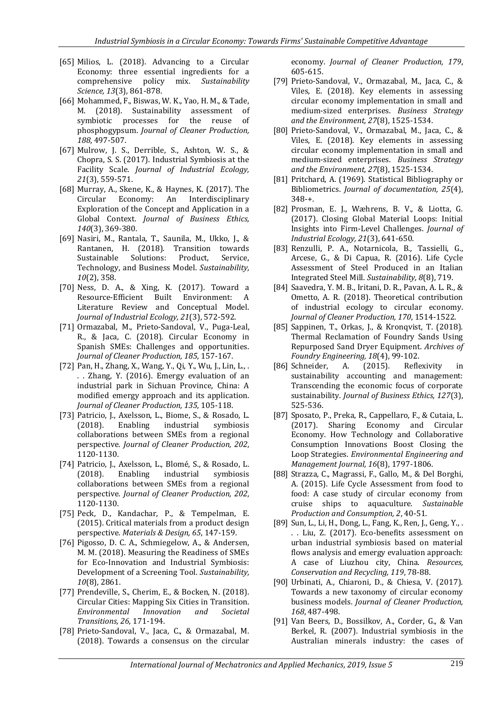- [65] Milios, L. (2018). Advancing to a Circular Economy: three essential ingredients for a comprehensive policy mix. *Sustainability Science, 13*(3), 861-878.
- [66] Mohammed, F., Biswas, W. K., Yao, H. M., & Tade, M. (2018). Sustainability assessment of symbiotic processes for the reuse of phosphogypsum. *Journal of Cleaner Production, 188*, 497-507.
- [67] Mulrow, J. S., Derrible, S., Ashton, W. S., & Chopra, S. S. (2017). Industrial Symbiosis at the Facility Scale. *Journal of Industrial Ecology, 21*(3), 559-571.
- [68] Murray, A., Skene, K., & Haynes, K. (2017). The Circular Economy: An Interdisciplinary Exploration of the Concept and Application in a Global Context. *Journal of Business Ethics, 140*(3), 369-380.
- [69] Nasiri, M., Rantala, T., Saunila, M., Ukko, J., & Rantanen, H. (2018). Transition towards Sustainable Solutions: Product, Service, Technology, and Business Model. *Sustainability, 10*(2), 358.
- [70] Ness, D. A., & Xing, K. (2017). Toward a Resource-Efficient Built Environment: A Literature Review and Conceptual Model. *Journal of Industrial Ecology, 21*(3), 572-592.
- [71] Ormazabal, M., Prieto-Sandoval, V., Puga-Leal, R., & Jaca, C. (2018). Circular Economy in Spanish SMEs: Challenges and opportunities. *Journal of Cleaner Production, 185*, 157-167.
- [72] Pan, H., Zhang, X., Wang, Y., Qi, Y., Wu, J., Lin, L., . . . Zhang, Y. (2016). Emergy evaluation of an industrial park in Sichuan Province, China: A modified emergy approach and its application. *Journal of Cleaner Production, 135*, 105-118.
- [73] Patricio, J., Axelsson, L., Biome, S., & Rosado, L. (2018). Enabling industrial symbiosis collaborations between SMEs from a regional perspective. *Journal of Cleaner Production, 202*, 1120-1130.
- [74] Patricio, J., Axelsson, L., Blomé, S., & Rosado, L. (2018). Enabling industrial symbiosis collaborations between SMEs from a regional perspective. *Journal of Cleaner Production, 202*, 1120-1130.
- [75] Peck, D., Kandachar, P., & Tempelman, E. (2015). Critical materials from a product design perspective. *Materials & Design, 65*, 147-159.
- [76] Pigosso, D. C. A., Schmiegelow, A., & Andersen, M. M. (2018). Measuring the Readiness of SMEs for Eco-Innovation and Industrial Symbiosis: Development of a Screening Tool. *Sustainability, 10*(8), 2861.
- [77] Prendeville, S., Cherim, E., & Bocken, N. (2018). Circular Cities: Mapping Six Cities in Transition. *Environmental Innovation and Societal Transitions, 26*, 171-194.
- [78] Prieto-Sandoval, V., Jaca, C., & Ormazabal, M. (2018). Towards a consensus on the circular

economy. *Journal of Cleaner Production, 179*, 605-615.

- [79] Prieto-Sandoval, V., Ormazabal, M., Jaca, C., & Viles, E. (2018). Key elements in assessing circular economy implementation in small and medium-sized enterprises. *Business Strategy and the Environment, 27*(8), 1525-1534.
- [80] Prieto‐Sandoval, V., Ormazabal, M., Jaca, C., & Viles, E. (2018). Key elements in assessing circular economy implementation in small and medium‐sized enterprises. *Business Strategy and the Environment, 27*(8), 1525-1534.
- [81] Pritchard, A. (1969). Statistical Bibliography or Bibliometrics. *Journal of documentation, 25*(4), 348-+.
- [82] Prosman, E. J., Wæhrens, B. V., & Liotta, G. (2017). Closing Global Material Loops: Initial Insights into Firm-Level Challenges. *Journal of Industrial Ecology, 21*(3), 641-650.
- [83] Renzulli, P. A., Notarnicola, B., Tassielli, G., Arcese, G., & Di Capua, R. (2016). Life Cycle Assessment of Steel Produced in an Italian Integrated Steel Mill. *Sustainability, 8*(8), 719.
- [84] Saavedra, Y. M. B., Iritani, D. R., Pavan, A. L. R., & Ometto, A. R. (2018). Theoretical contribution of industrial ecology to circular economy. *Journal of Cleaner Production, 170*, 1514-1522.
- [85] Sappinen, T., Orkas, J., & Kronqvist, T. (2018). Thermal Reclamation of Foundry Sands Using Repurposed Sand Dryer Equipment. *Archives of Foundry Engineering, 18*(4), 99-102.
- [86] Schneider, A. (2015). Reflexivity in sustainability accounting and management: Transcending the economic focus of corporate sustainability. *Journal of Business Ethics, 127*(3), 525-536.
- [87] Sposato, P., Preka, R., Cappellaro, F., & Cutaia, L. (2017). Sharing Economy and Circular Economy. How Technology and Collaborative Consumption Innovations Boost Closing the Loop Strategies. *Environmental Engineering and Management Journal, 16*(8), 1797-1806.
- [88] Strazza, C., Magrassi, F., Gallo, M., & Del Borghi, A. (2015). Life Cycle Assessment from food to food: A case study of circular economy from cruise ships to aquaculture. *Sustainable Production and Consumption, 2*, 40-51.
- [89] Sun, L., Li, H., Dong, L., Fang, K., Ren, J., Geng, Y., . . . Liu, Z. (2017). Eco-benefits assessment on urban industrial symbiosis based on material flows analysis and emergy evaluation approach: A case of Liuzhou city, China. *Resources, Conservation and Recycling, 119*, 78-88.
- [90] Urbinati, A., Chiaroni, D., & Chiesa, V. (2017). Towards a new taxonomy of circular economy business models. *Journal of Cleaner Production, 168*, 487-498.
- [91] Van Beers, D., Bossilkov, A., Corder, G., & Van Berkel, R. (2007). Industrial symbiosis in the Australian minerals industry: the cases of